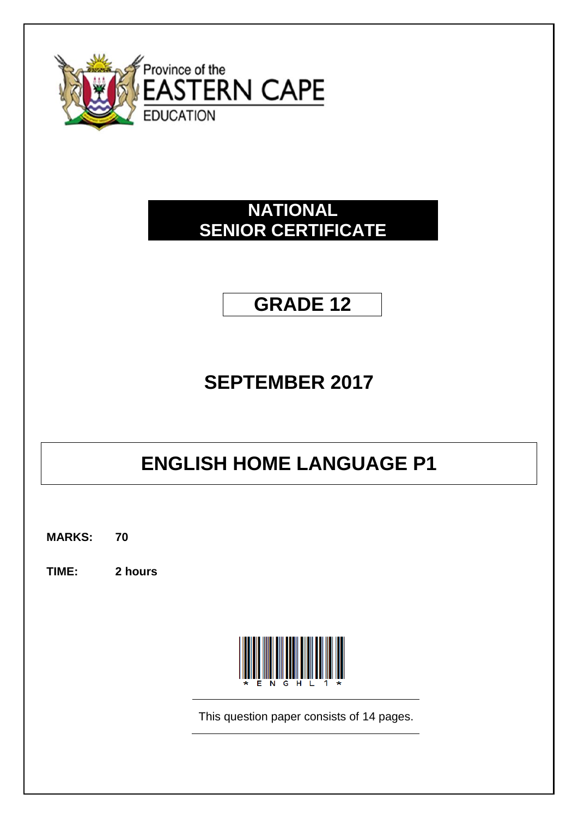

## **NATIONAL SENIOR CERTIFICATE**

# **GRADE 12**

## **SEPTEMBER 2017**

# **ENGLISH HOME LANGUAGE P1**

**MARKS: 70**

**TIME: 2 hours**



This question paper consists of 14 pages.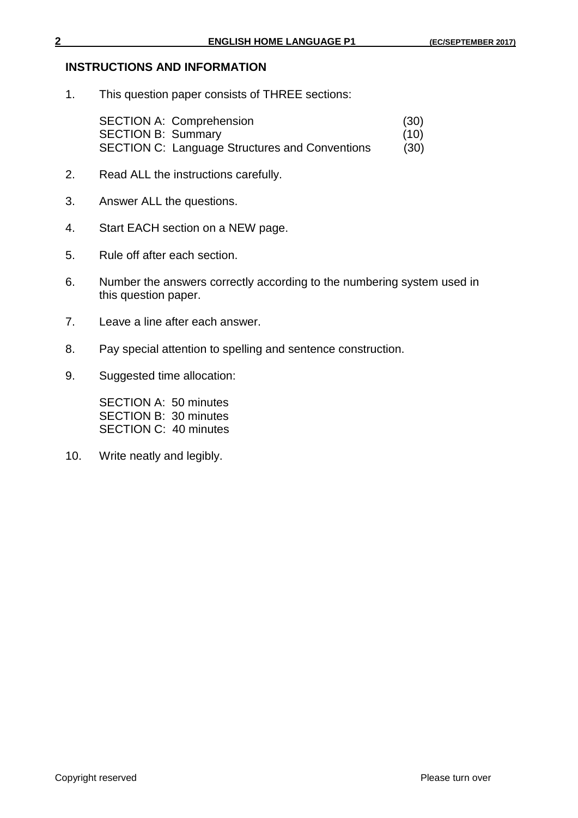#### **INSTRUCTIONS AND INFORMATION**

1. This question paper consists of THREE sections:

SECTION A: Comprehension (30) SECTION B: Summary (10) SECTION C: Language Structures and Conventions (30)

- 2. Read ALL the instructions carefully.
- 3. Answer ALL the questions.
- 4. Start EACH section on a NEW page.
- 5. Rule off after each section.
- 6. Number the answers correctly according to the numbering system used in this question paper.
- 7. Leave a line after each answer.
- 8. Pay special attention to spelling and sentence construction.
- 9. Suggested time allocation:

SECTION A: 50 minutes SECTION B: 30 minutes SECTION C: 40 minutes

10. Write neatly and legibly.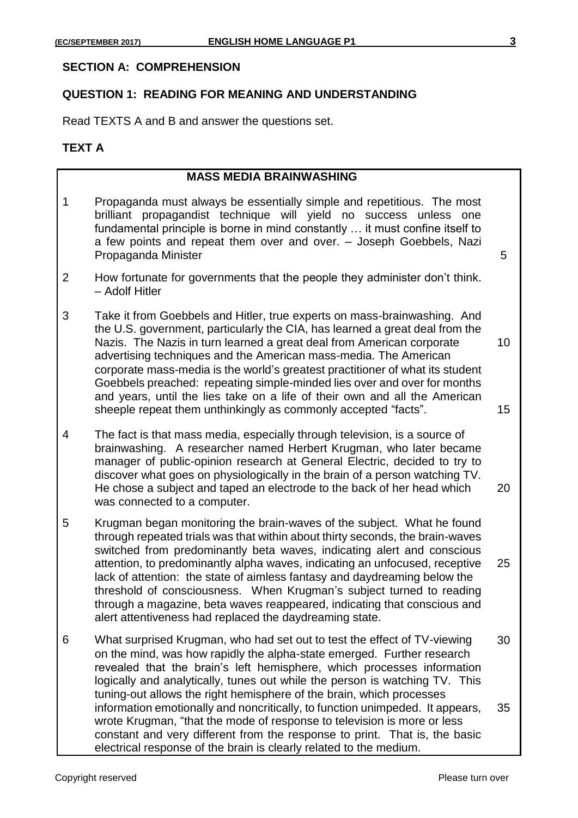#### **SECTION A: COMPREHENSION**

#### **QUESTION 1: READING FOR MEANING AND UNDERSTANDING**

Read TEXTS A and B and answer the questions set.

#### **TEXT A**

#### **MASS MEDIA BRAINWASHING**

- 1 Propaganda must always be essentially simple and repetitious. The most brilliant propagandist technique will yield no success unless one fundamental principle is borne in mind constantly … it must confine itself to a few points and repeat them over and over. – Joseph Goebbels, Nazi Propaganda Minister 5
- 2 How fortunate for governments that the people they administer don't think. – Adolf Hitler
- 3 Take it from Goebbels and Hitler, true experts on mass-brainwashing. And the U.S. government, particularly the CIA, has learned a great deal from the Nazis. The Nazis in turn learned a great deal from American corporate 10 advertising techniques and the American mass-media. The American corporate mass-media is the world's greatest practitioner of what its student Goebbels preached: repeating simple-minded lies over and over for months and years, until the lies take on a life of their own and all the American sheeple repeat them unthinkingly as commonly accepted "facts". 15
- 4 The fact is that mass media, especially through television, is a source of brainwashing. A researcher named Herbert Krugman, who later became manager of public-opinion research at General Electric, decided to try to discover what goes on physiologically in the brain of a person watching TV. He chose a subject and taped an electrode to the back of her head which 20 was connected to a computer.
- 5 Krugman began monitoring the brain-waves of the subject. What he found through repeated trials was that within about thirty seconds, the brain-waves switched from predominantly beta waves, indicating alert and conscious attention, to predominantly alpha waves, indicating an unfocused, receptive 25 lack of attention: the state of aimless fantasy and daydreaming below the threshold of consciousness. When Krugman's subject turned to reading through a magazine, beta waves reappeared, indicating that conscious and alert attentiveness had replaced the daydreaming state.
- 6 What surprised Krugman, who had set out to test the effect of TV-viewing 30 on the mind, was how rapidly the alpha-state emerged. Further research revealed that the brain's left hemisphere, which processes information logically and analytically, tunes out while the person is watching TV. This tuning-out allows the right hemisphere of the brain, which processes information emotionally and noncritically, to function unimpeded. It appears, 35 wrote Krugman, "that the mode of response to television is more or less constant and very different from the response to print. That is, the basic electrical response of the brain is clearly related to the medium.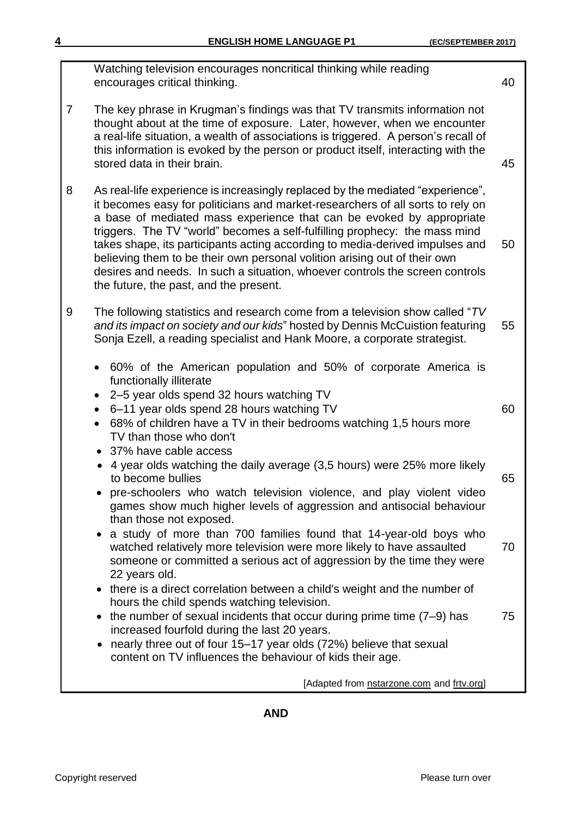|   | Watching television encourages noncritical thinking while reading<br>encourages critical thinking.                                                                                                                                                                                                                                                                                                                                                                                                                                                                                                            | 40 |
|---|---------------------------------------------------------------------------------------------------------------------------------------------------------------------------------------------------------------------------------------------------------------------------------------------------------------------------------------------------------------------------------------------------------------------------------------------------------------------------------------------------------------------------------------------------------------------------------------------------------------|----|
| 7 | The key phrase in Krugman's findings was that TV transmits information not<br>thought about at the time of exposure. Later, however, when we encounter<br>a real-life situation, a wealth of associations is triggered. A person's recall of<br>this information is evoked by the person or product itself, interacting with the<br>stored data in their brain.                                                                                                                                                                                                                                               | 45 |
| 8 | As real-life experience is increasingly replaced by the mediated "experience",<br>it becomes easy for politicians and market-researchers of all sorts to rely on<br>a base of mediated mass experience that can be evoked by appropriate<br>triggers. The TV "world" becomes a self-fulfilling prophecy: the mass mind<br>takes shape, its participants acting according to media-derived impulses and<br>believing them to be their own personal volition arising out of their own<br>desires and needs. In such a situation, whoever controls the screen controls<br>the future, the past, and the present. | 50 |
| 9 | The following statistics and research come from a television show called "TV<br>and its impact on society and our kids" hosted by Dennis McCuistion featuring<br>Sonja Ezell, a reading specialist and Hank Moore, a corporate strategist.                                                                                                                                                                                                                                                                                                                                                                    | 55 |
|   | 60% of the American population and 50% of corporate America is<br>$\bullet$<br>functionally illiterate<br>2-5 year olds spend 32 hours watching TV<br>6-11 year olds spend 28 hours watching TV<br>68% of children have a TV in their bedrooms watching 1,5 hours more<br>$\bullet$<br>TV than those who don't<br>37% have cable access<br>4 year olds watching the daily average (3,5 hours) were 25% more likely<br>$\bullet$                                                                                                                                                                               | 60 |
|   | to become bullies<br>pre-schoolers who watch television violence, and play violent video<br>games show much higher levels of aggression and antisocial behaviour<br>than those not exposed.<br>a study of more than 700 families found that 14-year-old boys who                                                                                                                                                                                                                                                                                                                                              | 65 |
|   | watched relatively more television were more likely to have assaulted<br>someone or committed a serious act of aggression by the time they were<br>22 years old.<br>there is a direct correlation between a child's weight and the number of                                                                                                                                                                                                                                                                                                                                                                  | 70 |
|   | hours the child spends watching television.<br>the number of sexual incidents that occur during prime time $(7-9)$ has<br>increased fourfold during the last 20 years.<br>nearly three out of four 15–17 year olds (72%) believe that sexual<br>content on TV influences the behaviour of kids their age.                                                                                                                                                                                                                                                                                                     | 75 |
|   | [Adapted from nstarzone.com and frtv.org]                                                                                                                                                                                                                                                                                                                                                                                                                                                                                                                                                                     |    |

**AND**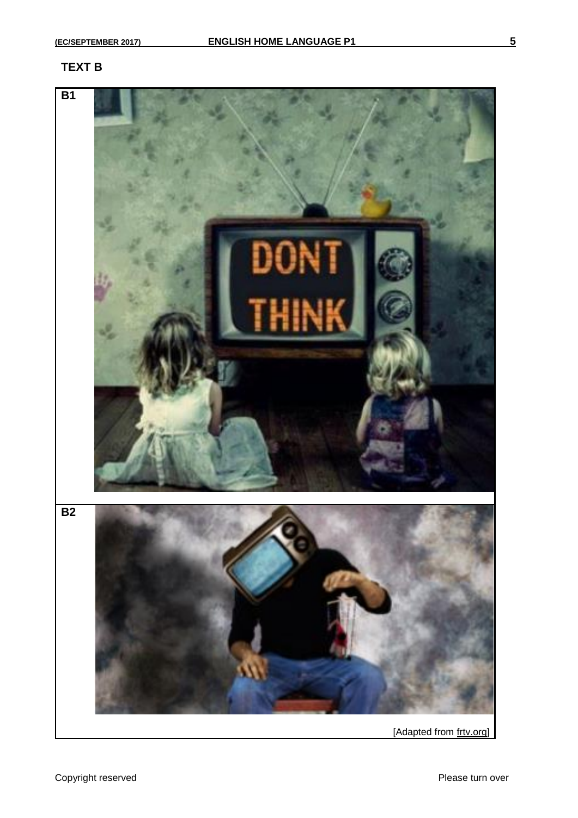## **TEXT B**

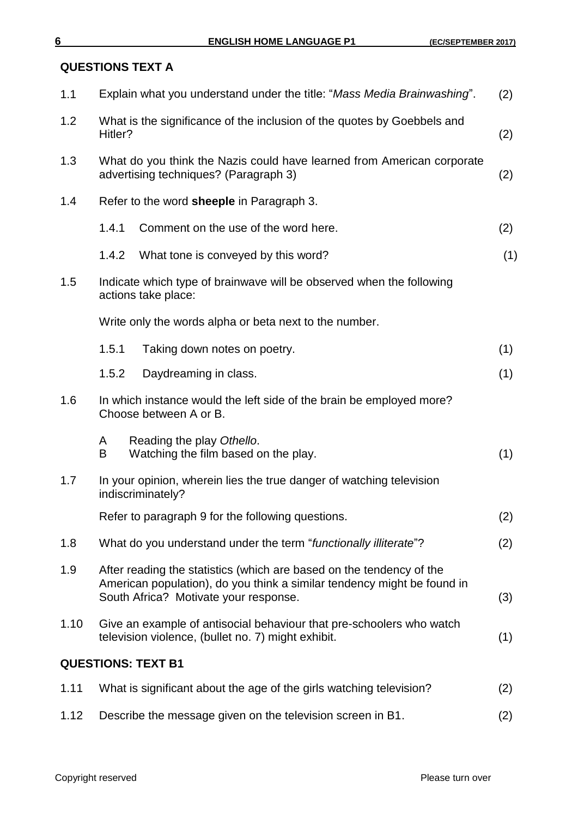## **QUESTIONS TEXT A**

| 1.1  | Explain what you understand under the title: "Mass Media Brainwashing".                                                                                                                  | (2) |
|------|------------------------------------------------------------------------------------------------------------------------------------------------------------------------------------------|-----|
| 1.2  | What is the significance of the inclusion of the quotes by Goebbels and<br>Hitler?                                                                                                       | (2) |
| 1.3  | What do you think the Nazis could have learned from American corporate<br>advertising techniques? (Paragraph 3)                                                                          | (2) |
| 1.4  | Refer to the word sheeple in Paragraph 3.                                                                                                                                                |     |
|      | 1.4.1<br>Comment on the use of the word here.                                                                                                                                            | (2) |
|      | 1.4.2<br>What tone is conveyed by this word?                                                                                                                                             | (1) |
| 1.5  | Indicate which type of brainwave will be observed when the following<br>actions take place:                                                                                              |     |
|      | Write only the words alpha or beta next to the number.                                                                                                                                   |     |
|      | 1.5.1<br>Taking down notes on poetry.                                                                                                                                                    | (1) |
|      | 1.5.2<br>Daydreaming in class.                                                                                                                                                           | (1) |
| 1.6  | In which instance would the left side of the brain be employed more?<br>Choose between A or B.                                                                                           |     |
|      | Reading the play Othello.<br>A<br>B<br>Watching the film based on the play.                                                                                                              | (1) |
| 1.7  | In your opinion, wherein lies the true danger of watching television<br>indiscriminately?                                                                                                |     |
|      | Refer to paragraph 9 for the following questions.                                                                                                                                        | (2) |
| 1.8  | What do you understand under the term "functionally illiterate"?                                                                                                                         | (2) |
| 1.9  | After reading the statistics (which are based on the tendency of the<br>American population), do you think a similar tendency might be found in<br>South Africa? Motivate your response. | (3) |
| 1.10 | Give an example of antisocial behaviour that pre-schoolers who watch<br>television violence, (bullet no. 7) might exhibit.                                                               | (1) |
|      | <b>QUESTIONS: TEXT B1</b>                                                                                                                                                                |     |
| 1.11 | What is significant about the age of the girls watching television?                                                                                                                      | (2) |
| 1.12 | Describe the message given on the television screen in B1.                                                                                                                               | (2) |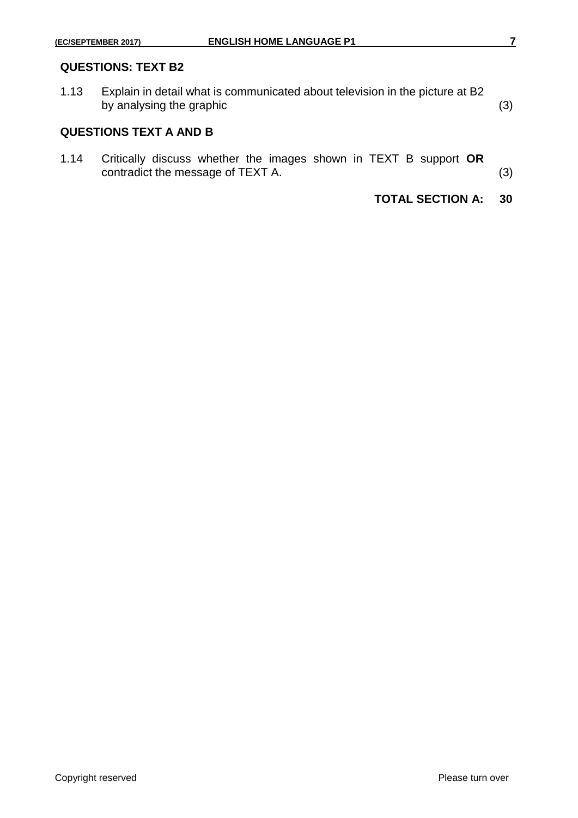1.13 Explain in detail what is communicated about television in the picture at B2 by analysing the graphic (3) (3)

#### **QUESTIONS TEXT A AND B**

1.14 Critically discuss whether the images shown in TEXT B support **OR** contradict the message of TEXT A.  $(3)$ 

**TOTAL SECTION A: 30**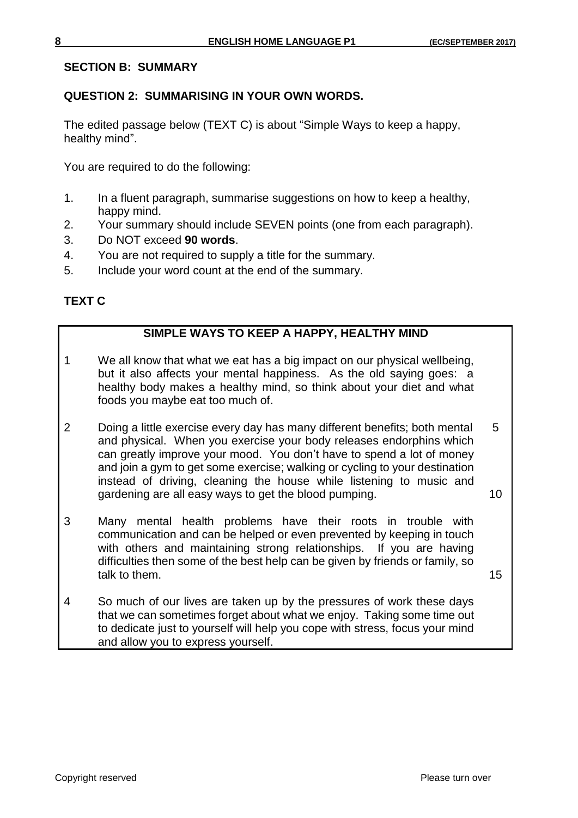#### **SECTION B: SUMMARY**

## **QUESTION 2: SUMMARISING IN YOUR OWN WORDS.**

The edited passage below (TEXT C) is about "Simple Ways to keep a happy, healthy mind".

You are required to do the following:

- 1. In a fluent paragraph, summarise suggestions on how to keep a healthy, happy mind.
- 2. Your summary should include SEVEN points (one from each paragraph).
- 3. Do NOT exceed **90 words**.
- 4. You are not required to supply a title for the summary.
- 5. Include your word count at the end of the summary.

## **TEXT C**

## **SIMPLE WAYS TO KEEP A HAPPY, HEALTHY MIND**

- 1 We all know that what we eat has a big impact on our physical wellbeing, but it also affects your mental happiness. As the old saying goes: a healthy body makes a healthy mind, so think about your diet and what foods you maybe eat too much of.
- 2 Doing a little exercise every day has many different benefits; both mental 5 and physical. When you exercise your body releases endorphins which can greatly improve your mood. You don't have to spend a lot of money and join a gym to get some exercise; walking or cycling to your destination instead of driving, cleaning the house while listening to music and gardening are all easy ways to get the blood pumping. The magnetic state of  $10$
- 3 Many mental health problems have their roots in trouble with communication and can be helped or even prevented by keeping in touch with others and maintaining strong relationships. If you are having difficulties then some of the best help can be given by friends or family, so talk to them. 15

4 So much of our lives are taken up by the pressures of work these days that we can sometimes forget about what we enjoy. Taking some time out to dedicate just to yourself will help you cope with stress, focus your mind and allow you to express yourself.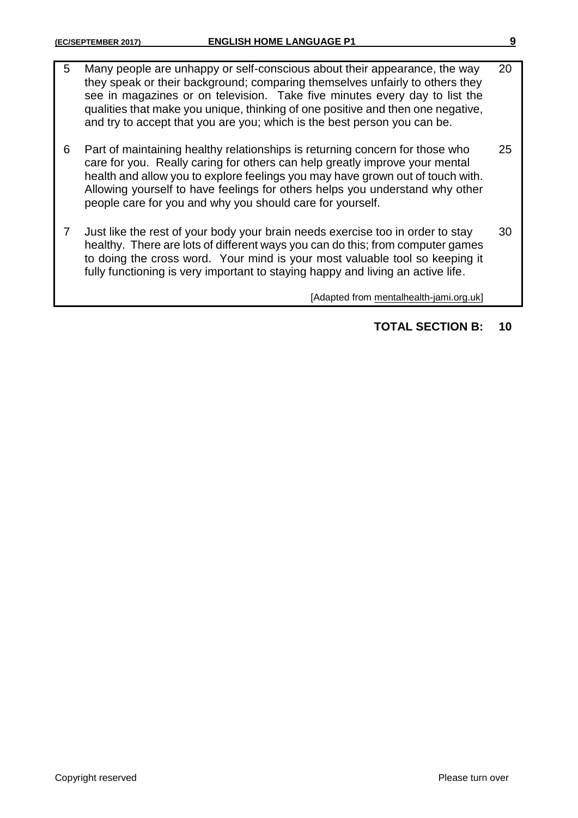5 Many people are unhappy or self-conscious about their appearance, the way 20 they speak or their background; comparing themselves unfairly to others they see in magazines or on television. Take five minutes every day to list the qualities that make you unique, thinking of one positive and then one negative, and try to accept that you are you; which is the best person you can be. 6 Part of maintaining healthy relationships is returning concern for those who 25 care for you. Really caring for others can help greatly improve your mental health and allow you to explore feelings you may have grown out of touch with. Allowing yourself to have feelings for others helps you understand why other people care for you and why you should care for yourself. 7 Just like the rest of your body your brain needs exercise too in order to stay 30 healthy. There are lots of different ways you can do this; from computer games to doing the cross word. Your mind is your most valuable tool so keeping it fully functioning is very important to staying happy and living an active life. [Adapted from mentalhealth-jami.org.uk]

## **TOTAL SECTION B: 10**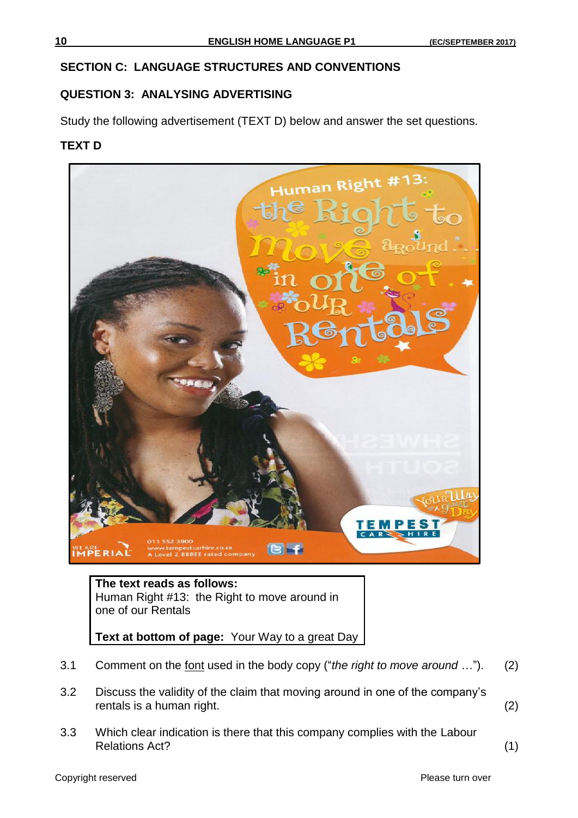#### **SECTION C: LANGUAGE STRUCTURES AND CONVENTIONS**

## **QUESTION 3: ANALYSING ADVERTISING**

Study the following advertisement (TEXT D) below and answer the set questions.

#### **TEXT D**



**The text reads as follows:**  Human Right #13: the Right to move around in one of our Rentals

**Text at bottom of page:** Your Way to a great Day

- 3.1 Comment on the font used in the body copy ("*the right to move around* …"). (2)
- 3.2 Discuss the validity of the claim that moving around in one of the company's rentals is a human right. (2)
- 3.3 Which clear indication is there that this company complies with the Labour Relations Act? (1)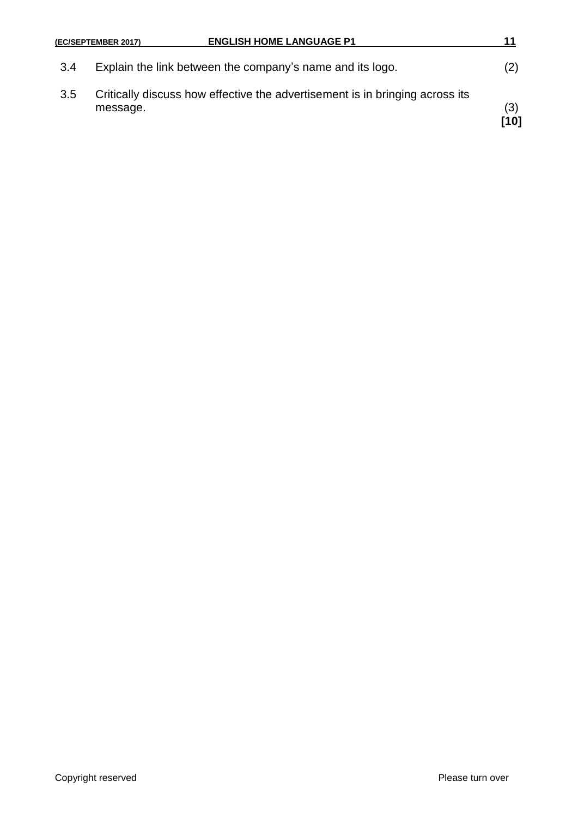|     | <b>ENGLISH HOME LANGUAGE P1</b><br>(EC/SEPTEMBER 2017)                                   | 11          |
|-----|------------------------------------------------------------------------------------------|-------------|
| 3.4 | Explain the link between the company's name and its logo.                                | (2)         |
| 3.5 | Critically discuss how effective the advertisement is in bringing across its<br>message. | (3)<br>[10] |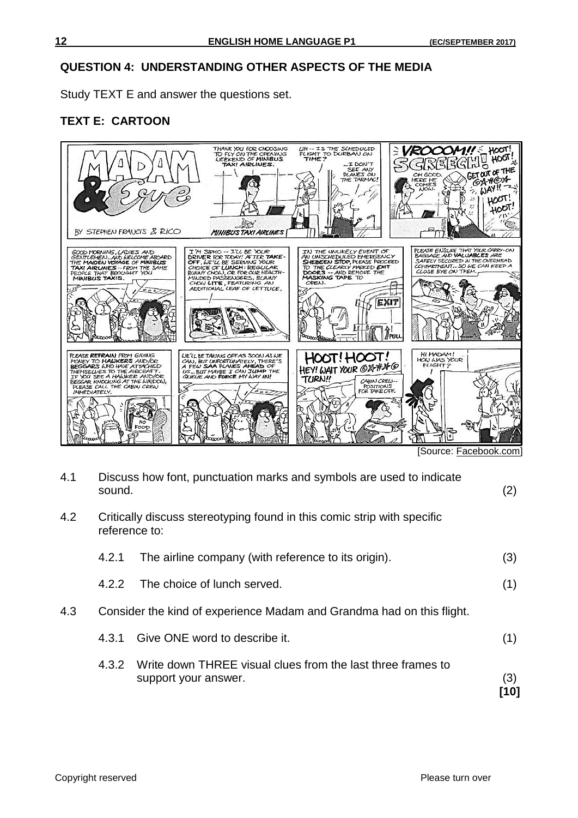### **QUESTION 4: UNDERSTANDING OTHER ASPECTS OF THE MEDIA**

Study TEXT E and answer the questions set.

## **TEXT E: CARTOON**



[Source: Facebook.com]

| 4.1 | sound.                                                                                   | Discuss how font, punctuation marks and symbols are used to indicate                | (2)         |
|-----|------------------------------------------------------------------------------------------|-------------------------------------------------------------------------------------|-------------|
| 4.2 | Critically discuss stereotyping found in this comic strip with specific<br>reference to: |                                                                                     |             |
|     | 4.2.1                                                                                    | The airline company (with reference to its origin).                                 | (3)         |
|     | 4.2.2                                                                                    | The choice of lunch served.                                                         | (1)         |
| 4.3 |                                                                                          | Consider the kind of experience Madam and Grandma had on this flight.               |             |
|     | 4.3.1                                                                                    | Give ONE word to describe it.                                                       | (1)         |
|     | 4.3.2                                                                                    | Write down THREE visual clues from the last three frames to<br>support your answer. | (3)<br>[10] |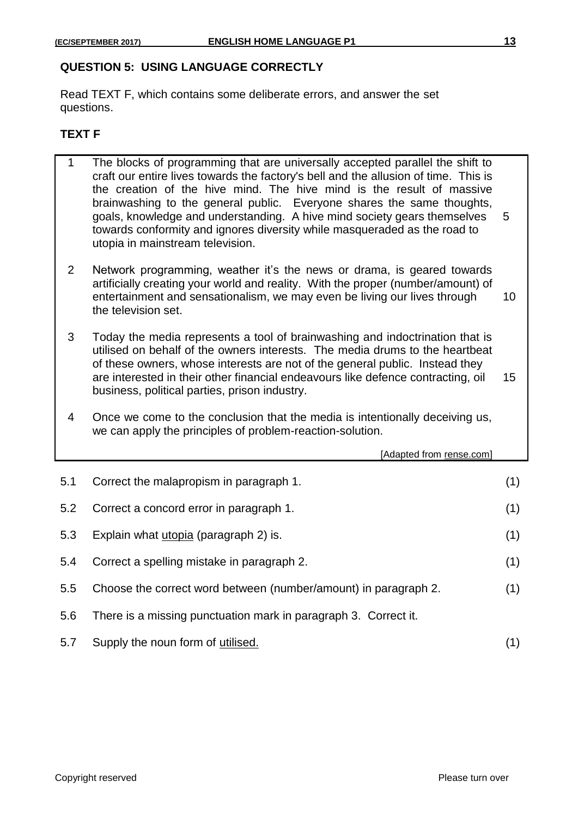## **QUESTION 5: USING LANGUAGE CORRECTLY**

Read TEXT F, which contains some deliberate errors, and answer the set questions.

#### **TEXT F**

1 The blocks of programming that are universally accepted parallel the shift to craft our entire lives towards the factory's bell and the allusion of time. This is the creation of the hive mind. The hive mind is the result of massive brainwashing to the general public. Everyone shares the same thoughts, goals, knowledge and understanding. A hive mind society gears themselves 5 towards conformity and ignores diversity while masqueraded as the road to utopia in mainstream television. 2 Network programming, weather it's the news or drama, is geared towards artificially creating your world and reality. With the proper (number/amount) of entertainment and sensationalism, we may even be living our lives through 10 the television set. 3 Today the media represents a tool of brainwashing and indoctrination that is utilised on behalf of the owners interests. The media drums to the heartbeat of these owners, whose interests are not of the general public. Instead they are interested in their other financial endeavours like defence contracting, oil 15 business, political parties, prison industry. 4 Once we come to the conclusion that the media is intentionally deceiving us, we can apply the principles of problem-reaction-solution. [Adapted from rense.com]

|     | 1. la <u>produtto in terme estern</u>                           |     |
|-----|-----------------------------------------------------------------|-----|
| 5.1 | Correct the malapropism in paragraph 1.                         | (1) |
| 5.2 | Correct a concord error in paragraph 1.                         | (1) |
| 5.3 | Explain what <i>utopia</i> (paragraph 2) is.                    | (1) |
| 5.4 | Correct a spelling mistake in paragraph 2.                      | (1) |
| 5.5 | Choose the correct word between (number/amount) in paragraph 2. | (1) |
| 5.6 | There is a missing punctuation mark in paragraph 3. Correct it. |     |
| 5.7 | Supply the noun form of utilised.                               |     |